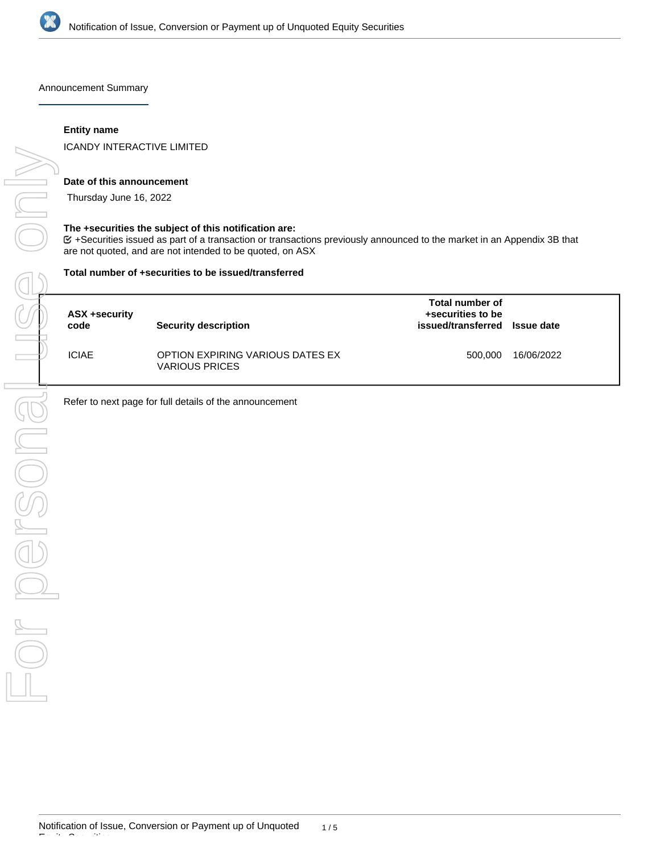

Announcement Summary

## **Entity name**

ICANDY INTERACTIVE LIMITED

#### **Date of this announcement**

Thursday June 16, 2022

#### **The +securities the subject of this notification are:**

+Securities issued as part of a transaction or transactions previously announced to the market in an Appendix 3B that are not quoted, and are not intended to be quoted, on ASX

#### **Total number of +securities to be issued/transferred**

| ASX +security<br>code | <b>Security description</b>                               | Total number of<br>+securities to be<br>issued/transferred Issue date |            |
|-----------------------|-----------------------------------------------------------|-----------------------------------------------------------------------|------------|
| <b>ICIAE</b>          | OPTION EXPIRING VARIOUS DATES EX<br><b>VARIOUS PRICES</b> | 500.000                                                               | 16/06/2022 |

Refer to next page for full details of the announcement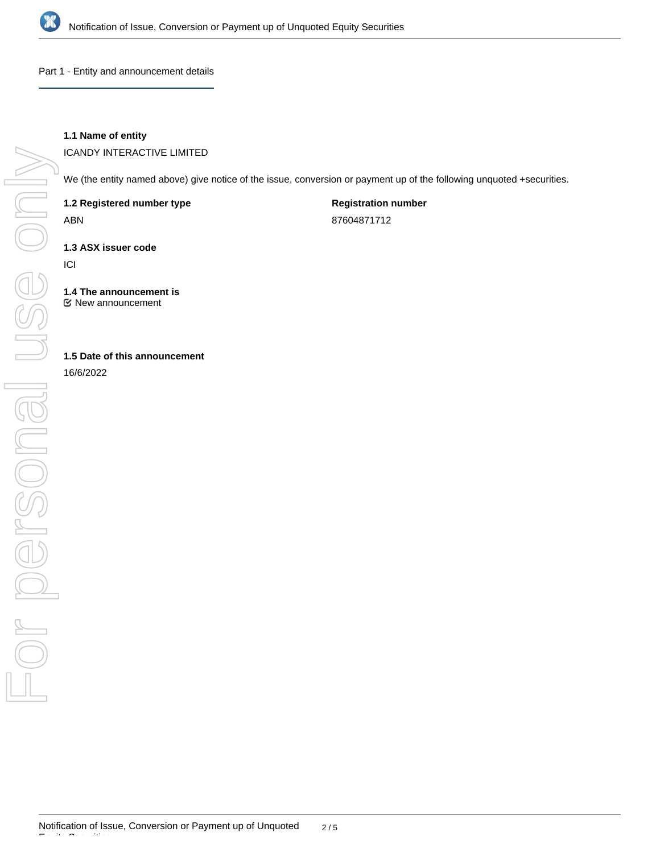

Part 1 - Entity and announcement details

# **1.1 Name of entity**

ICANDY INTERACTIVE LIMITED

We (the entity named above) give notice of the issue, conversion or payment up of the following unquoted +securities.

**1.2 Registered number type**

ABN

**Registration number** 87604871712

**1.3 ASX issuer code**

ICI

**1.4 The announcement is** New announcement

**1.5 Date of this announcement**

16/6/2022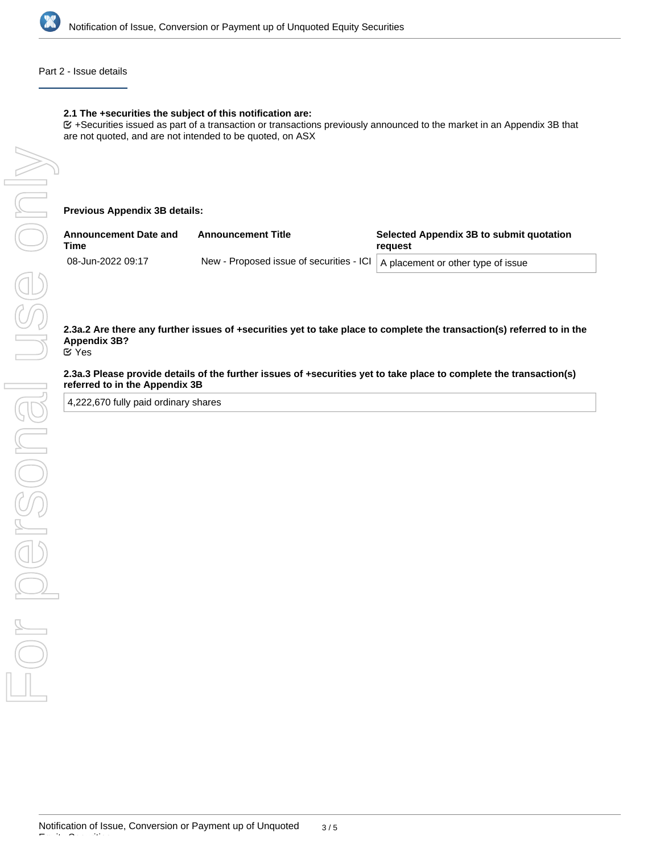

### Part 2 - Issue details

### **2.1 The +securities the subject of this notification are:**

+Securities issued as part of a transaction or transactions previously announced to the market in an Appendix 3B that are not quoted, and are not intended to be quoted, on ASX

**Previous Appendix 3B details:**

| <b>Announcement Date and</b><br>Time | <b>Announcement Title</b>                                                     | Selected Appendix 3B to submit quotation<br>reauest |  |
|--------------------------------------|-------------------------------------------------------------------------------|-----------------------------------------------------|--|
| 08-Jun-2022 09:17                    | New - Proposed issue of securities - ICI   A placement or other type of issue |                                                     |  |

**2.3a.2 Are there any further issues of +securities yet to take place to complete the transaction(s) referred to in the Appendix 3B?** Yes

**2.3a.3 Please provide details of the further issues of +securities yet to take place to complete the transaction(s) referred to in the Appendix 3B**

4,222,670 fully paid ordinary shares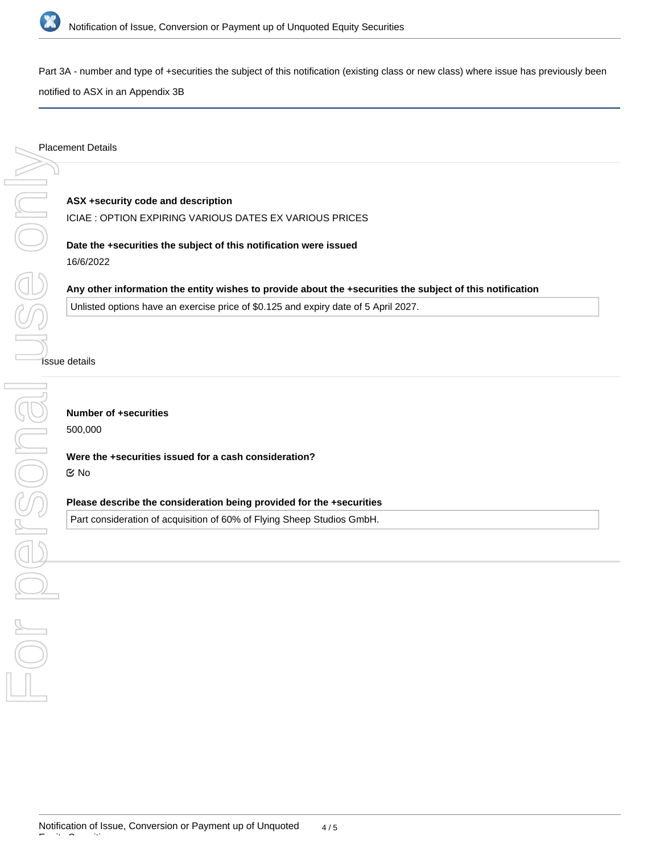

Part 3A - number and type of +securities the subject of this notification (existing class or new class) where issue has previously been

notified to ASX in an Appendix 3B

**ASX +security code and description** ICIAE : OPTION EXPIRING VARIOUS DATES EX VARIOUS PRICES

**Date the +securities the subject of this notification were issued** 16/6/2022

**Any other information the entity wishes to provide about the +securities the subject of this notification** Unlisted options have an exercise price of \$0.125 and expiry date of 5 April 2027.

**Sisue details** 

**Number of +securities**

500,000

**Were the +securities issued for a cash consideration?** No

**Please describe the consideration being provided for the +securities**

Part consideration of acquisition of 60% of Flying Sheep Studios GmbH.